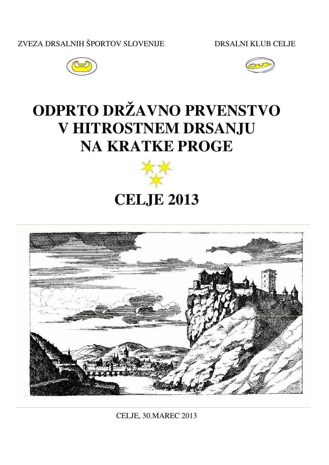ZVEZA DRSALNIH ŠPORTOV SLOVENIJE DRSALNI KLUB CELJE





# **ODPRTO DRŽAVNO PRVENSTVO V HITROSTNEM DRSANJU NA KRATKE PROGE**



# **CELJE 2013**



CELJE, 30.MAREC 2013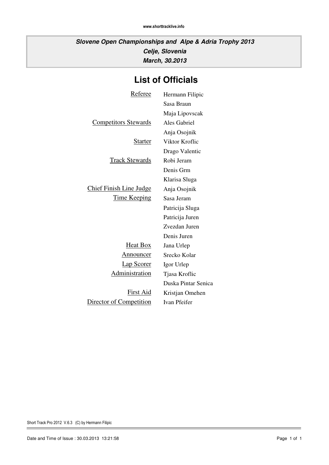**Slovene Open Championships and Alpe & Adria Trophy 2013 Celje, Slovenia March, 30.2013**

# **List of Officials**

| Referee                        | Hermann Filipic     |
|--------------------------------|---------------------|
|                                | Sasa Braun          |
|                                | Maja Lipovscak      |
| <b>Competitors Stewards</b>    | Ales Gabriel        |
|                                | Anja Osojnik        |
| Starter                        | Viktor Kroflic      |
|                                | Drago Valentic      |
| <u>Track Stewards</u>          | Robi Jeram          |
|                                | Denis Grm           |
|                                | Klarisa Sluga       |
| <b>Chief Finish Line Judge</b> | Anja Osojnik        |
| <u>Time Keeping</u>            | Sasa Jeram          |
|                                | Patricija Sluga     |
|                                | Patricija Juren     |
|                                | Zvezdan Juren       |
|                                | Denis Juren         |
| <b>Heat Box</b>                | Jana Urlep          |
| <u>Announcer</u>               | Srecko Kolar        |
| <b>Lap Scorer</b>              | Igor Urlep          |
| <b>Administration</b>          | Tjasa Kroflic       |
|                                | Duska Pintar Senica |
| <u>First Aid</u>               | Kristjan Omehen     |
| Director of Competition        | Ivan Pfeifer        |
|                                |                     |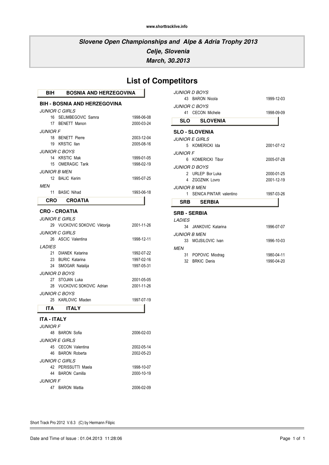### **Slovene Open Championships and Alpe & Adria Trophy 2013 Celje, Slovenia March, 30.2013**

| <b>List of Competitors</b> |  |
|----------------------------|--|
|----------------------------|--|

|                              | <i>JUNIOR D BOYS</i>         |            |
|------------------------------|------------------------------|------------|
|                              | 43 BARON Nicola              | 1999-12-03 |
|                              | <i>JUNIOR C BOYS</i>         |            |
|                              | 41 CECON Michele             | 1998-09-09 |
|                              | <b>SLO SLOVENIA</b>          |            |
|                              | <b>SLO - SLOVENIA</b>        |            |
|                              | <i><b>JUNIOR E GIRLS</b></i> |            |
|                              | 5 KOMERICKI Ida              | 2001-07-12 |
| <i>JUNIOR F</i>              |                              |            |
|                              | 6 KOMERICKI Tibor            | 2005-07-28 |
|                              | <b>JUNIOR D BOYS</b>         |            |
|                              | 2 URLEP Bor Luka             | 2000-01-25 |
|                              | 4 7GOZNIK Lovro              | 2001-12-19 |
| <i><b>II INIOR B MEN</b></i> |                              |            |
|                              | 1 SENICA PINTAR valentino    | 1997-03-26 |
|                              | SRB SERBIA                   |            |
| <b>SRB - SERBIA</b>          |                              |            |
| <b>LADIES</b>                |                              |            |
|                              | 34 JANKOVIC Katarina         | 1996-07-07 |
| <i><b>JUNIOR B MEN</b></i>   |                              |            |
|                              | 33 MOJSILOVIC Ivan           | 1996-10-03 |

|     | 33 MOJSILOVIC Ivan | 1996-10-03 |
|-----|--------------------|------------|
| MFN |                    |            |
|     | 31 POPOVIC Miodrag | 1980-04-11 |
|     | 32 BRKIC Denis     | 1990-04-20 |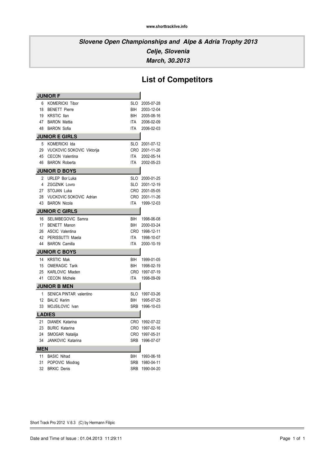# **List of Competitors**

| <b>JUNIOR F</b> |                                   |            |                |
|-----------------|-----------------------------------|------------|----------------|
| 6               | <b>KOMERICKI Tibor</b>            | SLO        | 2005-07-28     |
| 18              | <b>BENETT Pierre</b>              | BIH        | 2003-12-04     |
| 19              | <b>KRSTIC Ilan</b>                | BIH        | 2005-08-16     |
| 47              | <b>BARON Mattia</b>               | ITA        | 2006-02-09     |
| 48              | <b>BARON Sofia</b>                | ITA        | 2006-02-03     |
|                 | <b>JUNIOR E GIRLS</b>             |            |                |
| 5               | <b>KOMERICKI Ida</b>              | SLO        | 2001-07-12     |
| 29              | <b>VUCKOVIC SOKOVIC Viktorija</b> |            | CRO 2001-11-26 |
| 45              | <b>CECON Valentina</b>            | ITA        | 2002-05-14     |
| 46              | <b>BARON Roberta</b>              | ITA        | 2002-05-23     |
|                 | <b>JUNIOR D BOYS</b>              |            |                |
| 2               | <b>URLEP Bor Luka</b>             | SLO        | 2000-01-25     |
| 4               | ZGOZNIK Lovro                     | SLO        | 2001-12-19     |
| 27              | <b>STOJAN Luka</b>                |            | CRO 2001-05-05 |
| 28              | VUCKOVIC SOKOVIC Adrian           |            | CRO 2001-11-26 |
| 43              | <b>BARON Nicola</b>               | ITA        | 1999-12-03     |
|                 | <b>JUNIOR C GIRLS</b>             |            |                |
| 16              | SELIMBEGOVIC Samra                | BIH        | 1998-06-08     |
| 17              | <b>BENETT Manon</b>               | BIH        | 2000-03-24     |
| 26              | <b>ASCIC Valentina</b>            | CRO        | 1998-12-11     |
| 42              | PERISSUTTI Maela                  | ITA        | 1998-10-07     |
| 44              | <b>BARON Camilla</b>              | ITA        | 2000-10-19     |
|                 | <b>JUNIOR C BOYS</b>              |            |                |
| 14              | <b>KRSTIC Mak</b>                 | <b>BIH</b> | 1999-01-05     |
| 15              | <b>OMERAGIC Tarik</b>             | BIH        | 1998-02-19     |
| 25              | <b>KARLOVIC Mladen</b>            | CRO        | 1997-07-19     |
| 41              | <b>CECON Michele</b>              | ITA        | 1998-09-09     |
|                 | <b>JUNIOR B MEN</b>               |            |                |
| 1               | SENICA PINTAR valentino           |            | SLO 1997-03-26 |
| 12              | <b>BALIC Kerim</b>                | BIH        | 1995-07-25     |
| 33              | MOJSILOVIC Ivan                   | SRB        | 1996-10-03     |
|                 | <b>LADIES</b>                     |            |                |
| 21              | <b>DIANEK Katarina</b>            |            | CRO 1992-07-22 |
| 23              | <b>BURIC Katarina</b>             |            | CRO 1997-02-16 |
| 24              | SMOGAR Natalija                   |            | CRO 1997-05-31 |
| 34              | JANKOVIC Katarina                 | SRB        | 1996-07-07     |
| <b>MEN</b>      |                                   |            |                |
| 11              | <b>BASIC Nihad</b>                | BIH        | 1993-06-18     |
| 31              | POPOVIC Miodrag                   | <b>SRB</b> | 1980-04-11     |
| 32              | <b>BRKIC Denis</b>                | SRB        | 1990-04-20     |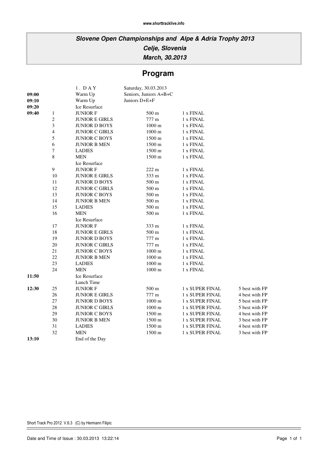# **Program**

| 09:00<br>09:10 |                  | 1. DAY<br>Warm Up<br>Warm Up | Saturday, 30.03.2013<br>Seniors, Juniors A+B+C<br>Juniors D+E+F |                        |                |
|----------------|------------------|------------------------------|-----------------------------------------------------------------|------------------------|----------------|
| 09:20          |                  | Ice Resurface                |                                                                 |                        |                |
| 09:40          | $\mathbf{1}$     | <b>JUNIOR F</b>              | 500 m                                                           | 1 x FINAL              |                |
|                | $\mathbf{2}$     | <b>JUNIOR E GIRLS</b>        | 777 m                                                           | 1 x FINAL              |                |
|                | $\mathfrak{Z}$   | <b>JUNIOR D BOYS</b>         | $1000 \text{ m}$                                                | 1 x FINAL              |                |
|                | $\overline{4}$   | <b>JUNIOR C GIRLS</b>        | $1000\ \mathrm{m}$                                              | 1 x FINAL              |                |
|                | $\sqrt{5}$       | <b>JUNIOR C BOYS</b>         | 1500 m                                                          | 1 x FINAL              |                |
|                | 6                | <b>JUNIOR B MEN</b>          | $1500 \text{ m}$                                                | 1 x FINAL              |                |
|                | $\boldsymbol{7}$ | <b>LADIES</b>                | 1500 m                                                          | 1 x FINAL              |                |
|                | $\,8\,$          | <b>MEN</b>                   | 1500 m                                                          | 1 x FINAL              |                |
|                |                  | Ice Resurface                |                                                                 |                        |                |
|                | $\mathbf{9}$     | <b>JUNIOR F</b>              | $222 \text{ m}$                                                 | 1 x FINAL              |                |
|                | 10               | <b>JUNIOR E GIRLS</b>        | 333 m                                                           | 1 x FINAL              |                |
|                | 11               | <b>JUNIOR D BOYS</b>         | 500 m                                                           | 1 x FINAL              |                |
|                | 12               | <b>JUNIOR C GIRLS</b>        | 500 m                                                           | 1 x FINAL              |                |
|                | 13               | <b>JUNIOR C BOYS</b>         | $500 \text{ m}$                                                 | 1 x FINAL              |                |
|                | 14               | <b>JUNIOR B MEN</b>          | 500 m                                                           | 1 x FINAL              |                |
|                | 15               | <b>LADIES</b>                | 500 m                                                           | 1 x FINAL              |                |
|                | 16               | <b>MEN</b>                   | $500\;\mathrm{m}$                                               | 1 x FINAL              |                |
|                |                  | Ice Resurface                |                                                                 |                        |                |
|                | 17               | <b>JUNIOR F</b>              | 333 m                                                           | 1 x FINAL              |                |
|                | 18               | <b>JUNIOR E GIRLS</b>        | 500 m                                                           | 1 x FINAL              |                |
|                | 19               | <b>JUNIOR D BOYS</b>         | 777 m                                                           | 1 x FINAL              |                |
|                | 20               | <b>JUNIOR C GIRLS</b>        | 777 m                                                           | 1 x FINAL              |                |
|                | 21               | <b>JUNIOR C BOYS</b>         | $1000 \text{ m}$                                                | 1 x FINAL              |                |
|                | 22               | <b>JUNIOR B MEN</b>          | $1000 \text{ m}$                                                | 1 x FINAL              |                |
|                | $23\,$           | <b>LADIES</b>                | $1000 \text{ m}$                                                | 1 x FINAL              |                |
|                | 24               | <b>MEN</b>                   | $1000 \text{ m}$                                                | 1 x FINAL              |                |
| 11:50          |                  | <b>Ice Resurface</b>         |                                                                 |                        |                |
|                |                  | Lunch Time                   |                                                                 |                        |                |
| 12:30          | 25               | <b>JUNIOR F</b>              | 500 m                                                           | 1 x SUPER FINAL        | 5 best with FP |
|                | 26               | <b>JUNIOR E GIRLS</b>        | 777 m                                                           | <b>1 x SUPER FINAL</b> | 4 best with FP |
|                | 27               | <b>JUNIOR D BOYS</b>         | $1000 \text{ m}$                                                | <b>1 x SUPER FINAL</b> | 5 best with FP |
|                | $28\,$           | <b>JUNIOR C GIRLS</b>        | $1000 \text{ m}$                                                | 1 x SUPER FINAL        | 5 best with FP |
|                | 29               | <b>JUNIOR C BOYS</b>         | 1500 m                                                          | 1 x SUPER FINAL        | 4 best with FP |
|                | 30               | <b>JUNIOR B MEN</b>          | 1500 m                                                          | 1 x SUPER FINAL        | 3 best with FP |
|                | 31               | <b>LADIES</b>                | 1500 m                                                          | 1 x SUPER FINAL        | 4 best with FP |
|                | 32               | MEN                          | 1500 m                                                          | 1 x SUPER FINAL        | 3 best with FP |
| 13:10          |                  | End of the Day               |                                                                 |                        |                |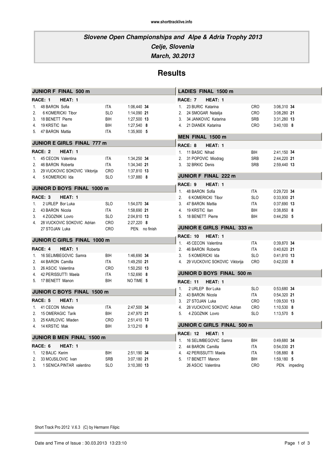**March, 30.2013**

### **Results**

|                | JUNIOR F FINAL 500 m              |            |                |
|----------------|-----------------------------------|------------|----------------|
|                | RACE: 1<br>HEAT: 1                |            |                |
| 1.             | 48 BARON Sofia                    | ITA        | 1:06,440 34    |
| 2 <sup>1</sup> | 6 KOMERICKI Tibor                 | <b>SLO</b> | 1:14,090 21    |
|                | 3. 18 BENETT Pierre               | BIH        | 1:27,500 13    |
|                | 4. 19 KRSTIC Ilan                 | BIH        | $1:27,540$ 8   |
|                | 5. 47 BARON Mattia                | ITA        | $1:35,900$ 5   |
|                | <b>JUNIOR E GIRLS FINAL 777 m</b> |            |                |
|                | RACE: 2<br>HEAT: 1                |            |                |
| $\mathbf{1}$   | 45 CECON Valentina                | ITA        | 1:34,250 34    |
|                | 2. 46 BARON Roberta               | <b>ITA</b> | 1:34,340 21    |
|                | 3. 29 VUCKOVIC SOKOVIC Viktorija  | CRO        | 1:37,810 13    |
|                | 4. 5 KOMERICKI Ida                | SLO.       | $1:37,880$ 8   |
|                | <b>JUNIOR D BOYS FINAL 1000 m</b> |            |                |
|                | RACE: 3<br>HEAT: 1                |            |                |
| 1.             | 2 URLEP Bor Luka                  | <b>SLO</b> | 1:54,070 34    |
| 2 <sub>1</sub> | 43 BARON Nicola                   | ITA        | 1:58,690 21    |
|                | 3. 4 ZGOZNIK Lovro                | <b>SLO</b> | 2:04,810 13    |
| 4.             | 28 VUCKOVIC SOKOVIC Adrian        | CRO        | 2:27,220 8     |
|                | 27 STOJAN Luka                    | <b>CRO</b> | PEN. no finish |
|                | JUNIOR C GIRLS FINAL 1000 m       |            |                |
|                | RACE: 4<br>HEAT: 1                |            |                |
| 1.             | 16 SELIMBEGOVIC Samra             | BIH        | 1:46,690 34    |
|                | 2. 44 BARON Camilla               | <b>ITA</b> | 1:49,250 21    |
|                | 3. 26 ASCIC Valentina             | CRO.       | 1:50,250 13    |
|                | 4. 42 PERISSUTTI Maela            | ITA        | 1:52,690 8     |
|                | 5. 17 BENETT Manon                | BIH        | NO TIME 5      |
|                | JUNIOR C BOYS FINAL 1500 m        |            |                |
|                | RACE: 5<br>HEAT: 1                |            |                |
|                | 1. 41 CECON Michele               | <b>ITA</b> | 2:47,500 34    |
|                | 2. 15 OMERAGIC Tarik              | BIH        | 2:47,970 21    |
| 3 <sub>1</sub> | 25 KARLOVIC Mladen                | CRO        | 2:51,410 13    |
|                | 4. 14 KRSTIC Mak                  | BIH        | $3:13,210$ 8   |
|                | JUNIOR B MEN FINAL 1500 m         |            |                |
|                | RACE: 6<br>HEAT: 1                |            |                |
| 1.             | 12 BALIC Kerim                    | BIH        | 2:51,190 34    |
| 2.             | 33 MOJSILOVIC Ivan                | <b>SRB</b> | 3:07,180 21    |
| 3.             | 1 SENICA PINTAR valentino         | <b>SLO</b> | 3:10,380 13    |

|                | <b>LADIES FINAL 1500 m</b>       |            |              |     |
|----------------|----------------------------------|------------|--------------|-----|
|                | RACE: 7<br>HEAT: 1               |            |              |     |
| 1.             | 23 BURIC Katarina                | <b>CRO</b> | 3:06,310 34  |     |
|                | 2. 24 SMOGAR Natalija            | CRO        | 3:08,280 21  |     |
|                | 3. 34 JANKOVIC Katarina          | <b>SRB</b> | 3:31,280 13  |     |
|                | 4. 21 DIANEK Katarina            | <b>CRO</b> | $3:40,100$ 8 |     |
|                | MEN FINAL 1500 m                 |            |              |     |
|                | RACE: 8<br>HEAT: 1               |            |              |     |
|                | 1. 11 BASIC Nihad                | BIH        | 2:41,150 34  |     |
| 2 <sub>1</sub> | 31 POPOVIC Miodrag               | SRB        | 2:44,220 21  |     |
| 3.             | 32 BRKIC Denis                   | <b>SRB</b> | 2:59,440 13  |     |
|                | JUNIOR F FINAL 222 m             |            |              |     |
|                | RACE: 9<br>HEAT: 1               |            |              |     |
| $1_{-}$        | 48 BARON Sofia                   | ITA        | 0:29,720 34  |     |
| 2.             | 6 KOMERICKI Tibor                | <b>SLO</b> | 0:33,930 21  |     |
|                | 3. 47 BARON Mattia               | ITA        | 0:37,690 13  |     |
|                | 4. 19 KRSTIC Ilan                | BIH        | $0:38,850$ 8 |     |
| 5.             | 18 BENETT Pierre                 | BIH        | $0:44,250$ 5 |     |
|                | JUNIOR E GIRLS FINAL 333 m       |            |              |     |
|                | <b>RACE: 10</b><br>HEAT: 1       |            |              |     |
| 1.             | 45 CECON Valentina               | <b>ITA</b> | 0:39,870 34  |     |
|                | 2. 46 BARON Roberta              | <b>ITA</b> | 0:40.620 21  |     |
| 3.             | 5 KOMERICKI Ida                  | <b>SLO</b> | 0:41,810 13  |     |
| 4.             | 29 VUCKOVIC SOKOVIC Viktorija    | <b>CRO</b> | $0:42,030$ 8 |     |
|                | <b>JUNIOR D BOYS FINAL 500 m</b> |            |              |     |
|                | <b>RACE: 11</b><br>HEAT: 1       |            |              |     |
|                | 1. 2 URLEP Bor Luka              | <b>SLO</b> | 0:53,680 34  |     |
| 2.             | 43 BARON Nicola                  | ITA        | 0:54,320 21  |     |
|                | 3. 27 STOJAN Luka                | CRO        | 1:09.530 13  |     |
|                | 4. 28 VUCKOVIC SOKOVIC Adrian    | CRO        | $1:10,530$ 8 |     |
|                | 5. 4 ZGOZNIK Lovro               | <b>SLO</b> | $1:13,570$ 5 |     |
|                | JUNIOR C GIRLS FINAL 500 m       |            |              |     |
|                | <b>RACE: 12</b><br>HEAT: 1       |            |              |     |
|                | 1. 16 SELIMBEGOVIC Samra         | BIH        | 0:49.680 34  |     |
| 2.             | 44 BARON Camilla                 | <b>ITA</b> | 0:54,030 21  |     |
| 4.             | 42 PERISSUTTI Maela              | ITA        | 1:08,880     | - 8 |

5. 17 BENETT Manon BIH 1:59,180 5 26 ASCIC Valentina **PEN.** impeding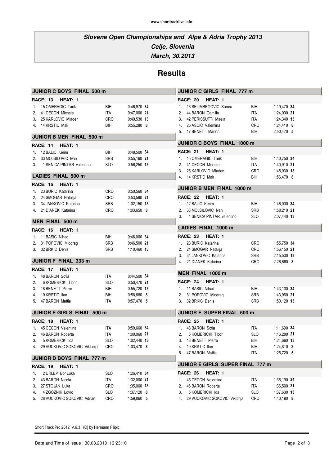**March, 30.2013**

# **Results**

| <b>JUNIOR C BOYS FINAL 500 m</b> |            |               |                                     | JUNIOR C GIRLS FINAL 777 m |              |  |  |
|----------------------------------|------------|---------------|-------------------------------------|----------------------------|--------------|--|--|
| HEAT: 1<br>RACE: 13              |            |               | HEAT: 1<br><b>RACE: 20</b>          |                            |              |  |  |
| 1. 15 OMERAGIC Tarik             | BIH        | 0:46,970 34   | 16 SELIMBEGOVIC Samra<br>1.         | BIH                        | 1:19,470 34  |  |  |
| 2. 41 CECON Michele              | ITA        | 0:47,000 21   | 44 BARON Camilla<br>2.              | ITA                        | 1:24,000 21  |  |  |
| 3. 25 KARLOVIC Mladen            | CRO        | 0:49,530 13   | 42 PERISSUTTI Maela<br>3.           | ITA                        | 1:24,340 13  |  |  |
| 4. 14 KRSTIC Mak                 | BIH        | $0:55,280$ 8  | 26 ASCIC Valentina<br>4.            | <b>CRO</b>                 | 1:24,410 8   |  |  |
|                                  |            |               | 5. 17 BENETT Manon                  | BIH                        | 2:50,470 5   |  |  |
| JUNIOR B MEN FINAL 500 m         |            |               |                                     |                            |              |  |  |
| HEAT: 1<br><b>RACE: 14</b>       |            |               | JUNIOR C BOYS FINAL 1000 m          |                            |              |  |  |
| 1. 12 BALIC Kerim                | BIH        | 0:48,500 34   | <b>RACE: 21</b><br>HEAT: 1          |                            |              |  |  |
| 33 MOJSILOVIC Ivan<br>2.         | <b>SRB</b> | 0:55,160 21   | 1. 15 OMERAGIC Tarik                | BIH                        | 1:40,750 34  |  |  |
| 1 SENICA PINTAR valentino<br>3.  | <b>SLO</b> | $0:56,250$ 13 | 41 CECON Michele<br>2.              | ITA                        | 1:40,910 21  |  |  |
|                                  |            |               | 25 KARLOVIC Mladen<br>3.            | <b>CRO</b>                 | 1:45,030 13  |  |  |
| <b>LADIES FINAL 500 m</b>        |            |               | 14 KRSTIC Mak<br>4.                 | BIH                        | 1:56,470 8   |  |  |
| HEAT: 1<br><b>RACE: 15</b>       |            |               | <b>JUNIOR B MEN FINAL 1000 m</b>    |                            |              |  |  |
| 1. 23 BURIC Katarina             | <b>CRO</b> | 0:50,560 34   |                                     |                            |              |  |  |
| 2. 24 SMOGAR Natalija            | CRO        | 0:53,590 21   | HEAT: 1<br><b>RACE: 22</b>          |                            |              |  |  |
| 3. 34 JANKOVIC Katarina          | <b>SRB</b> | 1:02,150 13   | 1. 12 BALIC Kerim                   | BIH                        | 1:46,000 34  |  |  |
| 4. 21 DIANEK Katarina            | CRO        | 1:03,650 8    | 33 MOJSILOVIC Ivan<br>2.            | <b>SRB</b>                 | 1:58,210 21  |  |  |
|                                  |            |               | 1 SENICA PINTAR valentino<br>3.     | <b>SLO</b>                 | 2:07.440 13  |  |  |
| <b>MEN FINAL 500 m</b>           |            |               | <b>LADIES FINAL 1000 m</b>          |                            |              |  |  |
| HEAT: 1<br>RACE: 16              |            |               |                                     |                            |              |  |  |
| 1. 11 BASIC Nihad                | BIH        | 0:46,000 34   | <b>RACE: 23</b><br><b>HEAT: 1</b>   |                            |              |  |  |
| 2. 31 POPOVIC Miodrag            | <b>SRB</b> | 0:46,500 21   | 1. 23 BURIC Katarina                | CRO                        | 1:55,750 34  |  |  |
| 3. 32 BRKIC Denis                | <b>SRB</b> | 1:10,460 13   | 2. 24 SMOGAR Natalija               | <b>CRO</b>                 | 1:56,150 21  |  |  |
|                                  |            |               | 3. 34 JANKOVIC Katarina             | SRB                        | 2:15,500 13  |  |  |
| <b>JUNIOR F FINAL 333 m</b>      |            |               | 4. 21 DIANEK Katarina               | <b>CRO</b>                 | $2:26,660$ 8 |  |  |
| <b>RACE: 17</b><br>HEAT: 1       |            |               | MEN FINAL 1000 m                    |                            |              |  |  |
| 1. 48 BARON Sofia                | ITA        | 0:44,500 34   |                                     |                            |              |  |  |
| 2.<br>6 KOMERICKI Tibor          | <b>SLO</b> | $0:50,470$ 21 | <b>RACE: 24</b><br>HEAT: 1          |                            |              |  |  |
| 3. 18 BENETT Pierre              | BIH        | $0:55,720$ 13 | 1. 11 BASIC Nihad                   | BIH                        | 1:43,130 34  |  |  |
| 4. 19 KRSTIC Ilan                | BIH        | $0:56,880$ 8  | 2. 31 POPOVIC Miodrag               | <b>SRB</b>                 | 1:43,960 21  |  |  |
| 5. 47 BARON Mattia               | ITA        | $0:57,470$ 5  | 32 BRKIC Denis<br>3.                | <b>SRB</b>                 | 1:50,120 13  |  |  |
| JUNIOR E GIRLS FINAL 500 m       |            |               | JUNIOR F SUPER FINAL 500 m          |                            |              |  |  |
| RACE: 18<br>HEAT: 1              |            |               | <b>RACE: 25</b><br>HEAT: 1          |                            |              |  |  |
| 1. 45 CECON Valentina            | ITA        | 0.59,660 34   | 1. 48 BARON Sofia                   | ITA                        | 1:11,690 34  |  |  |
| 2. 46 BARON Roberta              | ITA        | 1:00,060 21   | 6 KOMERICKI Tibor                   | <b>SLO</b>                 | 1:16,280 21  |  |  |
| 5 KOMERICKI Ida<br>3.            | <b>SLO</b> | 1:02,440 13   | 18 BENETT Pierre                    | BIH                        | 1:24,660 13  |  |  |
| 4. 29 VUCKOVIC SOKOVIC Viktorija | CRO        | 1:03,470 8    | 19 KRSTIC Ilan<br>4.                | BIH                        | 1:24,810 8   |  |  |
|                                  |            |               | 47 BARON Mattia<br>5.               | ITA                        | 1:25,720 5   |  |  |
| JUNIOR D BOYS FINAL 777 m        |            |               |                                     |                            |              |  |  |
| <b>RACE: 19</b><br>HEAT: 1       |            |               | JUNIOR E GIRLS SUPER FINAL 777 m    |                            |              |  |  |
| 2 URLEP Bor Luka<br>1.           | <b>SLO</b> | 1:26,410 34   | <b>RACE: 26</b><br>HEAT: 1          |                            |              |  |  |
| 43 BARON Nicola<br>2.            | ITA        | 1:32,000 21   | 45 CECON Valentina<br>1.            | ITA                        | 1:36,190 34  |  |  |
| 27 STOJAN Luka<br>3.             | CRO        | 1:35,060 13   | 46 BARON Roberta<br>2.              | ITA                        | 1:36,500 21  |  |  |
| 4 ZGOZNIK Lovro<br>4.            | <b>SLO</b> | $1:37,120$ 8  | 5 KOMERICKI Ida<br>3.               | <b>SLO</b>                 | 1:37,630 13  |  |  |
| 28 VUCKOVIC SOKOVIC Adrian<br>5. | CRO        | 1:59,060 5    | 29 VUCKOVIC SOKOVIC Viktorija<br>4. | CRO                        | 1:40,190 8   |  |  |
|                                  |            |               |                                     |                            |              |  |  |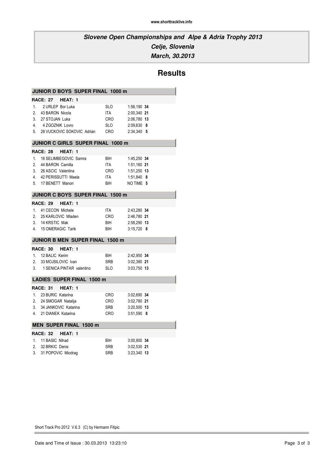**March, 30.2013**

# **Results**

|    | JUNIOR D BOYS SUPER FINAL 1000 m  |            |              |
|----|-----------------------------------|------------|--------------|
|    | RACE: 27 HEAT: 1                  |            |              |
|    | 1. 2 URLEP Bor Luka               | <b>SLO</b> | 1:56,190 34  |
| 2. | 43 BARON Nicola                   | ITA        | 2:00,340 21  |
|    | 3. 27 STOJAN Luka                 | <b>CRO</b> | 2:06.780 13  |
|    | 4. 4 ZGOZNIK Lovro                | SLO        | 2:09,630 8   |
|    | 5. 28 VUCKOVIC SOKOVIC Adrian     | <b>CRO</b> | 2:34,340 5   |
|    | JUNIOR C GIRLS SUPER FINAL 1000 m |            |              |
|    | <b>RACE: 28</b><br>HEAT: 1        |            |              |
|    | 1. 16 SELIMBEGOVIC Samra          | BIH        | 1:45,250 34  |
|    | 2. 44 BARON Camilla               | ITA        | 1:51,160 21  |
|    | 3. 26 ASCIC Valentina             | CRO        | 1:51,250 13  |
|    | 4. 42 PERISSUTTI Maela            | ITA        | 1:51,840 8   |
|    | 5. 17 BENETT Manon                | BIH        | NO TIME 5    |
|    | JUNIOR C BOYS SUPER FINAL 1500 m  |            |              |
|    | RACE: 29<br>HEAT: 1               |            |              |
|    | 1. 41 CECON Michele               | <b>ITA</b> | 2:43,280 34  |
|    | 2. 25 KARLOVIC Mladen             | CRO        | 2:46,780 21  |
|    | 3. 14 KRSTIC Mak                  | BIH        | 2:58,290 13  |
|    | 4. 15 OMERAGIC Tarik              | BIH        | $3:15,720$ 8 |
|    | JUNIOR B MEN SUPER FINAL 1500 m   |            |              |
|    | <b>RACE: 30</b><br>HEAT: 1        |            |              |
|    | 1. 12 BALIC Kerim                 | BIH        | 2:42,950 34  |
| 2. | 33 MOJSILOVIC Ivan                | <b>SRB</b> | 3:02,380 21  |
|    | 3. 1 SENICA PINTAR valentino      | - SLO      | 3:03,750 13  |
|    | <b>LADIES SUPER FINAL 1500 m</b>  |            |              |
|    | <b>RACE: 31</b><br>HEAT: 1        |            |              |
|    |                                   |            |              |
|    | 1. 23 BURIC Katarina              | CRO        | 3:02,690 34  |
|    | 2. 24 SMOGAR Natalija             | CRO        | 3:02.780 21  |
|    | 3. 34 JANKOVIC Katarina           | <b>SRB</b> | 3:20,500 13  |
|    | 4. 21 DIANEK Katarina             | CRO        | $3:51,590$ 8 |
|    | <b>MEN SUPER FINAL 1500 m</b>     |            |              |
|    | <b>RACE: 32</b><br>HEAT: 1        |            |              |
|    | 1. 11 BASIC Nihad                 | BIH        | 3:00,900 34  |
|    | 2. 32 BRKIC Denis                 | SRB        | 3:02,530 21  |
|    | 3. 31 POPOVIC Miodrag             | <b>SRB</b> | 3:23,340 13  |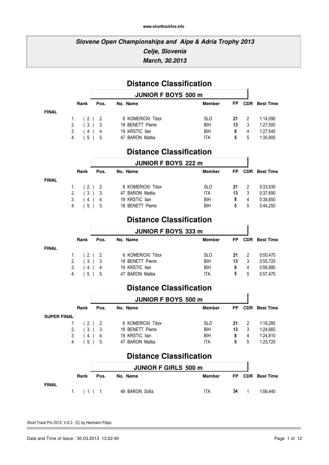### **Slovene Open Championships and Alpe & Adria Trophy 2013 Celje, Slovenia March, 30.2013**

# **Distance Classification**

|              |    |              |      | <b>JUNIOR F BOYS 500 m</b> |               |           |           |                      |
|--------------|----|--------------|------|----------------------------|---------------|-----------|-----------|----------------------|
|              |    | Rank         | Pos. | No. Name                   | <b>Member</b> | <b>FP</b> |           | <b>CDR</b> Best Time |
| <b>FINAL</b> |    |              |      |                            |               |           |           |                      |
|              |    | 1. $(2.)$ 2. |      | 6 KOMERICKI Tibor          | <b>SLO</b>    |           | $21 \t 2$ | 1:14.090             |
|              |    | 2. $(3.)$ 3. |      | 18 BENETT Pierre           | BIH           | 13        | - 3       | 1:27,500             |
|              | 3. | (4.) 4.      |      | 19 KRSTIC Ilan             | BIH           | 8         | 4         | 1:27,540             |
|              |    | 4. (5.) 5.   |      | 47 BARON Mattia            | ITA           | 5         | 5         | 1:35.900             |

### **Distance Classification**

|              |    |              |           | <b>JUNIOR F BOYS 222 m</b> |               |    |     |                      |
|--------------|----|--------------|-----------|----------------------------|---------------|----|-----|----------------------|
|              |    | Rank         | Pos.      | No. Name                   | <b>Member</b> | FP |     | <b>CDR</b> Best Time |
| <b>FINAL</b> |    |              |           |                            |               |    |     |                      |
|              |    | 1. $(2.)$ 2. |           | 6 KOMERICKI Tibor          | <b>SLO</b>    | 21 | - 2 | 0:33,930             |
|              |    | 2. (3.) 3.   |           | 47 BARON Mattia            | ITA           | 13 | 3   | 0:37,690             |
|              | 3. |              | $(4.)$ 4. | 19 KRSTIC Ilan             | <b>BIH</b>    | 8  | 4   | 0:38,850             |
|              | 4. |              | (5.) 5.   | 18 BENETT Pierre           | BIH           | 5  | 5   | 0:44.250             |

### **Distance Classification**

|              |    | <b>JUNIOR F BOYS 333 m</b> |      |                   |               |    |                |                      |
|--------------|----|----------------------------|------|-------------------|---------------|----|----------------|----------------------|
|              |    | Rank                       | Pos. | No. Name          | <b>Member</b> | FP |                | <b>CDR</b> Best Time |
| <b>FINAL</b> |    |                            |      |                   |               |    |                |                      |
|              |    | 1. $(2.)$ 2.               |      | 6 KOMERICKI Tibor | <b>SLO</b>    | 21 | $\overline{2}$ | 0:50.470             |
|              |    | 2. (3.) 3.                 |      | 18 BENETT Pierre  | BIH           | 13 | 3              | 0:55.720             |
|              | 3. | (4.) 4.                    |      | 19 KRSTIC Ilan    | <b>BIH</b>    | 8  | 4              | 0:56,880             |
|              | 4. | (5.) 5.                    |      | 47 BARON Mattia   | ITA           | 5. | $\mathbf{b}$   | 0:57.470             |

### **Distance Classification**

|                    |           |         | <b>JUNIOR F BOYS 500 m</b> |               |     |     |                  |  |
|--------------------|-----------|---------|----------------------------|---------------|-----|-----|------------------|--|
|                    | Rank      | Pos.    | No. Name                   | <b>Member</b> | FP  | CDR | <b>Best Time</b> |  |
| <b>SUPER FINAL</b> |           |         |                            |               |     |     |                  |  |
| $1_{\cdot}$        | $(2.)$ 2. |         | 6 KOMERICKI Tibor          | <b>SLO</b>    | -21 | - 2 | 1:16.280         |  |
| 2.                 | (3.) 3.   |         | 18 BENETT Pierre           | BIH           | 13  | -3  | 1:24.660         |  |
| 3.                 |           | 4.) 4.  | 19 KRSTIC Ilan             | BIH           | 8   | 4   | 1:24.810         |  |
| 4.                 |           | (5.) 5. | 47 BARON Mattia            | ITA           | 5   | 5   | 1:25.720         |  |
|                    |           |         |                            |               |     |     |                  |  |

### **Distance Classification**

|              |              |      | <b>JUNIOR F GIRLS 500 m</b> |        |      |                  |
|--------------|--------------|------|-----------------------------|--------|------|------------------|
|              | Rank         | Pos. | No. Name                    | Member |      | FP CDR Best Time |
| <b>FINAL</b> | $1.$ (1.) 1. |      | 48 BARON Sofia              | ITA    | 34 1 | 1:06.440         |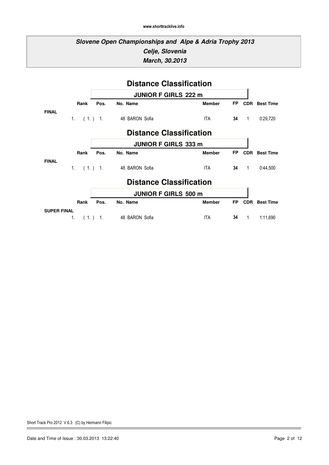### **Slovene Open Championships and Alpe & Adria Trophy 2013 Celje, Slovenia March, 30.2013**

|                                | <b>Distance Classification</b> |         |                                |               |           |              |                  |  |  |  |  |
|--------------------------------|--------------------------------|---------|--------------------------------|---------------|-----------|--------------|------------------|--|--|--|--|
|                                |                                |         | <b>JUNIOR F GIRLS 222 m</b>    |               |           |              |                  |  |  |  |  |
|                                | Rank                           | Pos.    | No. Name                       | <b>Member</b> | <b>FP</b> | <b>CDR</b>   | <b>Best Time</b> |  |  |  |  |
| <b>FINAL</b>                   | $1_{\cdot}$                    | (1.) 1. | 48 BARON Sofia                 | ITA.          | 34        | $\mathbf{1}$ | 0:29,720         |  |  |  |  |
| <b>Distance Classification</b> |                                |         |                                |               |           |              |                  |  |  |  |  |
|                                |                                |         | <b>JUNIOR F GIRLS 333 m</b>    |               |           |              |                  |  |  |  |  |
|                                | Rank                           | Pos.    | No. Name                       | <b>Member</b> | <b>FP</b> | <b>CDR</b>   | <b>Best Time</b> |  |  |  |  |
| <b>FINAL</b>                   | $1_{\cdot}$                    | (1.) 1. | 48 BARON Sofia                 | ITA           | 34        | $\mathbf{1}$ | 0:44,500         |  |  |  |  |
|                                |                                |         | <b>Distance Classification</b> |               |           |              |                  |  |  |  |  |
|                                |                                |         | <b>JUNIOR F GIRLS 500 m</b>    |               |           |              |                  |  |  |  |  |
|                                | Rank                           | Pos.    | No. Name                       | <b>Member</b> | <b>FP</b> | <b>CDR</b>   | <b>Best Time</b> |  |  |  |  |
| <b>SUPER FINAL</b>             |                                |         |                                |               |           |              |                  |  |  |  |  |
|                                | 1.                             | (1.) 1. | 48 BARON Sofia                 | ITA           | 34        | 1            | 1:11,690         |  |  |  |  |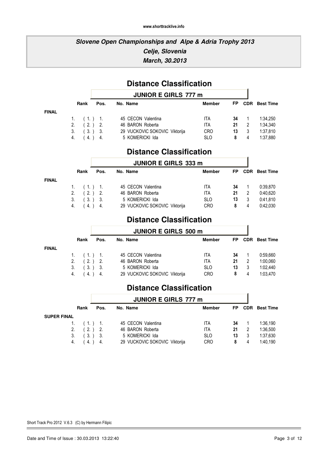### **Slovene Open Championships and Alpe & Adria Trophy 2013 Celje, Slovenia March, 30.2013**

# **Distance Classification**

|              |      | <b>JUNIOR E GIRLS 777 m</b> |                               |               |    |    |                      |  |
|--------------|------|-----------------------------|-------------------------------|---------------|----|----|----------------------|--|
|              | Rank | Pos.                        | No. Name                      | <b>Member</b> | FP |    | <b>CDR</b> Best Time |  |
| <b>FINAL</b> |      |                             |                               |               |    |    |                      |  |
|              |      | 1. $(1.)$ 1.                | 45 CECON Valentina            | ITA           | 34 |    | 1:34.250             |  |
|              |      | 2. $(2.)$ 2.                | 46 BARON Roberta              | ITA           | 21 | -2 | 1:34.340             |  |
|              | 3.   | (3.) 3.                     | 29 VUCKOVIC SOKOVIC Viktorija | <b>CRO</b>    | 13 |    | 1:37,810             |  |
|              | 4.   | $(4.)$ 4.                   | 5 KOMERICKI Ida               | <b>SLO</b>    | 8  |    | 1:37.880             |  |

### **Distance Classification**

| <b>JUNIOR E GIRLS 333 m</b> |              |         |                               |               |     |            |                  |  |  |  |
|-----------------------------|--------------|---------|-------------------------------|---------------|-----|------------|------------------|--|--|--|
|                             | Rank         | Pos.    | No. Name                      | <b>Member</b> | FP. | <b>CDR</b> | <b>Best Time</b> |  |  |  |
|                             | 1. $(1.)$ 1. |         | 45 CECON Valentina            | ITA           | 34  |            | 0:39,870         |  |  |  |
| 2.                          |              | (2.) 2. | 46 BARON Roberta              | ITA           | 21  | 2          | 0:40.620         |  |  |  |
| 3.                          |              | (3.) 3. | 5 KOMERICKI Ida               | <b>SLO</b>    | 13  | 3          | 0:41.810         |  |  |  |
| 4.                          | (4.)         | -4.     | 29 VUCKOVIC SOKOVIC Viktorija | <b>CRO</b>    | 8   | 4          | 0:42.030         |  |  |  |

### **Distance Classification**

ł.

|              |                  |      | <b>JUNIOR E GIRLS 500 m</b>   |               |           |                      |
|--------------|------------------|------|-------------------------------|---------------|-----------|----------------------|
|              | Rank             | Pos. | No. Name                      | <b>Member</b> | <b>FP</b> | <b>CDR</b> Best Time |
| <b>FINAL</b> |                  |      |                               |               |           |                      |
|              | 1. $(1.)$ 1.     |      | 45 CECON Valentina            | ITA.          | 34        | 0:59.660             |
|              | 2. $(2.)$ 2.     |      | 46 BARON Roberta              | ITA           | -21       | 1:00,060             |
|              | $3.$ $(3.)$ $3.$ |      | 5 KOMERICKI Ida               | <b>SLO</b>    | 13        | 1:02.440             |
|              | 4. (4.) 4.       |      | 29 VUCKOVIC SOKOVIC Viktorija | <b>CRO</b>    |           | 1:03.470             |

### **Distance Classification**

|      |                                      | <b>JUNIOR E GIRLS 777 m</b>                           |               |    |                |                      |
|------|--------------------------------------|-------------------------------------------------------|---------------|----|----------------|----------------------|
| Rank | Pos.                                 | No. Name                                              | <b>Member</b> | FP |                | <b>CDR</b> Best Time |
|      |                                      |                                                       |               |    |                |                      |
|      |                                      | 45 CECON Valentina                                    | ITA           | 34 |                | 1:36.190             |
|      |                                      | 46 BARON Roberta                                      | ITA           | 21 | $\overline{2}$ | 1:36,500             |
|      |                                      | 5 KOMERICKI Ida                                       | <b>SLO</b>    | 13 | -3             | 1:37,630             |
|      |                                      | 29 VUCKOVIC SOKOVIC Viktorija                         | <b>CRO</b>    | 8  | 4              | 1:40.190             |
|      | <b>SUPER FINAL</b><br>2.<br>3.<br>4. | $1.$ $(1.)$ $1.$<br>$(2.)$ 2.<br>(3.) 3.<br>$4.$ $4.$ |               |    |                |                      |

Short Track Pro 2012 V.6.3 (C) by Hermann Filipic

**FINAL**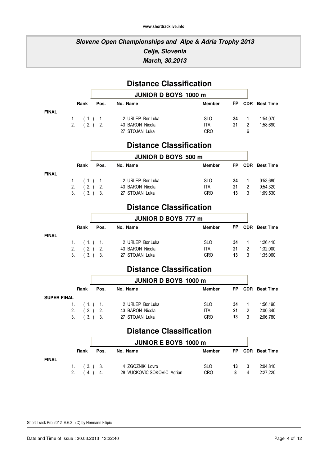### **Slovene Open Championships and Alpe & Adria Trophy 2013 Celje, Slovenia March, 30.2013**

|                    |                   |                      | <b>Distance Classification</b>          |                    |           |                                |                      |
|--------------------|-------------------|----------------------|-----------------------------------------|--------------------|-----------|--------------------------------|----------------------|
|                    |                   |                      | <b>JUNIOR D BOYS 1000 m</b>             |                    |           |                                |                      |
|                    | Rank              | Pos.                 | No. Name                                | <b>Member</b>      | FP        |                                | <b>CDR</b> Best Time |
| <b>FINAL</b>       |                   |                      |                                         |                    |           |                                |                      |
|                    | $1_{\cdot}$<br>2. | (1.) 1.<br>$(2.)$ 2. | 2 URLEP Bor Luka<br>43 BARON Nicola     | <b>SLO</b><br>ITA. | 34<br>21  | $\mathbf{1}$<br>$\overline{2}$ | 1:54,070<br>1:58,690 |
|                    |                   |                      | 27 STOJAN Luka                          | <b>CRO</b>         |           | 6                              |                      |
|                    |                   |                      | <b>Distance Classification</b>          |                    |           |                                |                      |
|                    |                   |                      | <b>JUNIOR D BOYS 500 m</b>              |                    |           |                                |                      |
|                    | Rank              | Pos.                 | No. Name                                | <b>Member</b>      | <b>FP</b> |                                | <b>CDR</b> Best Time |
| <b>FINAL</b>       |                   |                      |                                         |                    |           |                                |                      |
|                    | 1.                | (1.) 1.              | 2 URLEP Bor Luka                        | <b>SLO</b>         | 34        | $\mathbf 1$                    | 0:53,680             |
|                    | (2.)<br>2.        | 2.                   | 43 BARON Nicola                         | ITA.               | 21        | 2                              | 0:54,320             |
|                    | 3.                | (3.) 3.              | 27 STOJAN Luka                          | CRO                | 13        | 3                              | 1:09,530             |
|                    |                   |                      | <b>Distance Classification</b>          |                    |           |                                |                      |
|                    |                   |                      |                                         |                    |           |                                |                      |
|                    |                   |                      | <b>JUNIOR D BOYS 777 m</b>              |                    |           |                                |                      |
|                    | Rank              | Pos.                 | No. Name                                | <b>Member</b>      | <b>FP</b> |                                | <b>CDR</b> Best Time |
| <b>FINAL</b>       | 1.                | (1.) 1.              | 2 URLEP Bor Luka                        | <b>SLO</b>         | 34        | $\mathbf{1}$                   | 1:26,410             |
|                    | 2.<br>(2.)        | 2.                   | 43 BARON Nicola                         | ITA                | 21        | $\overline{2}$                 | 1:32,000             |
|                    | 3 <sub>1</sub>    | (3.) 3.              | 27 STOJAN Luka                          | <b>CRO</b>         | 13        | 3                              | 1:35,060             |
|                    |                   |                      | <b>Distance Classification</b>          |                    |           |                                |                      |
|                    |                   |                      | <b>JUNIOR D BOYS 1000 m</b>             |                    |           |                                |                      |
|                    | Rank              | Pos.                 | No. Name                                | <b>Member</b>      | FP        | <b>CDR</b>                     | <b>Best Time</b>     |
| <b>SUPER FINAL</b> |                   |                      |                                         |                    |           |                                |                      |
|                    | 1.                | (1.) 1.              | 2 URLEP Bor Luka                        | <b>SLO</b>         | 34        | $\mathbf{1}$                   | 1:56,190             |
|                    | 2.<br>(2.)        | 2.                   | 43 BARON Nicola                         | ITA.               | 21        | $\overline{2}$                 | 2:00,340             |
|                    | (3.)<br>3.        | 3.                   | 27 STOJAN Luka                          | <b>CRO</b>         | 13        | 3                              | 2:06,780             |
|                    |                   |                      | <b>Distance Classification</b>          |                    |           |                                |                      |
|                    |                   |                      |                                         |                    |           |                                |                      |
|                    | Rank              | Pos.                 | <b>JUNIOR E BOYS 1000 m</b><br>No. Name | <b>Member</b>      | <b>FP</b> |                                | <b>CDR</b> Best Time |
| <b>FINAL</b>       |                   |                      |                                         |                    |           |                                |                      |
|                    | 1.                | (3.) 3.              | 4 ZGOZNIK Lovro                         | <b>SLO</b>         | 13        | 3                              | 2:04,810             |

2. ( 4. ) 4. 28 VUCKOVIC SOKOVIC Adrian CRO 8 4 2:27,220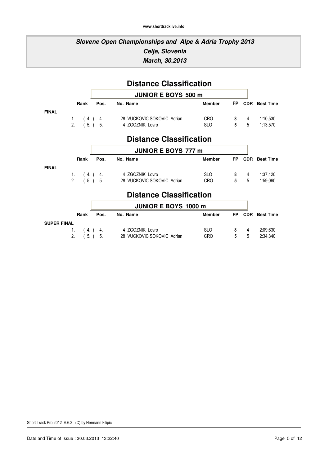### **Slovene Open Championships and Alpe & Adria Trophy 2013 Celje, Slovenia March, 30.2013**

|                    | <b>Distance Classification</b> |      |                                       |               |                |            |                      |  |  |  |  |  |
|--------------------|--------------------------------|------|---------------------------------------|---------------|----------------|------------|----------------------|--|--|--|--|--|
|                    |                                |      | <b>JUNIOR E BOYS 500 m</b>            |               |                |            |                      |  |  |  |  |  |
|                    | Rank                           | Pos. | No. Name                              | <b>Member</b> | <b>FP</b>      |            | <b>CDR</b> Best Time |  |  |  |  |  |
| <b>FINAL</b>       |                                |      |                                       |               |                |            |                      |  |  |  |  |  |
|                    |                                |      | 1. (4.) 4. 28 VUCKOVIC SOKOVIC Adrian | CRO           |                | $8 \t 4$   | 1:10,530             |  |  |  |  |  |
|                    |                                |      | 2. (5.) 5. 4 ZGOZNIK Lovro            | <b>SLO</b>    | 5              | 5          | 1:13,570             |  |  |  |  |  |
|                    |                                |      | <b>Distance Classification</b>        |               |                |            |                      |  |  |  |  |  |
|                    | <b>JUNIOR E BOYS 777 m</b>     |      |                                       |               |                |            |                      |  |  |  |  |  |
|                    | Rank                           | Pos. | No. Name                              | <b>Member</b> | <b>FP</b>      |            | <b>CDR</b> Best Time |  |  |  |  |  |
| <b>FINAL</b>       |                                |      |                                       |               |                |            |                      |  |  |  |  |  |
|                    |                                |      | 1. (4.) 4. 4 ZGOZNIK Lovro            | SLO           |                | 8 4        | 1:37,120             |  |  |  |  |  |
|                    |                                |      | 2. (5.) 5. 28 VUCKOVIC SOKOVIC Adrian | CRO           | 5              | 5          | 1:59,060             |  |  |  |  |  |
|                    |                                |      | <b>Distance Classification</b>        |               |                |            |                      |  |  |  |  |  |
|                    |                                |      |                                       |               |                |            |                      |  |  |  |  |  |
|                    |                                |      | <b>JUNIOR E BOYS 1000 m</b>           |               |                |            |                      |  |  |  |  |  |
|                    | Rank                           | Pos. | No. Name                              | <b>Member</b> | <b>FP</b>      | <b>CDR</b> | <b>Best Time</b>     |  |  |  |  |  |
| <b>SUPER FINAL</b> |                                |      |                                       |               |                |            |                      |  |  |  |  |  |
|                    | 1.                             |      | (4.) 4. 4 ZGOZNIK Lovro               | SLO           | 8              | 4          | 2:09,630             |  |  |  |  |  |
|                    | 2.                             |      | 5. ) 5. 28 VUCKOVIC SOKOVIC Adrian    | <b>CRO</b>    | $5\phantom{a}$ | 5          | 2:34,340             |  |  |  |  |  |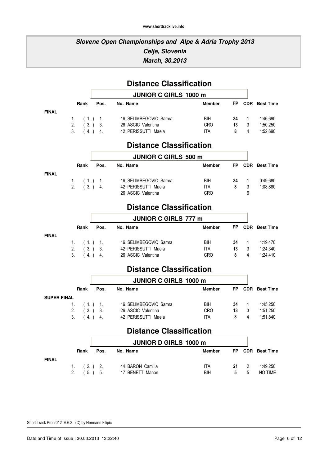### **Slovene Open Championships and Alpe & Adria Trophy 2013 Celje, Slovenia March, 30.2013**

|                    |                |              |                      | <b>Distance Classification</b>              |                   |           |                  |                      |
|--------------------|----------------|--------------|----------------------|---------------------------------------------|-------------------|-----------|------------------|----------------------|
|                    |                |              |                      | JUNIOR C GIRLS 1000 m                       |                   |           |                  |                      |
|                    |                | Rank         | Pos.                 | No. Name                                    | <b>Member</b>     | <b>FP</b> | <b>CDR</b>       | <b>Best Time</b>     |
| <b>FINAL</b>       |                |              |                      |                                             |                   |           |                  |                      |
|                    | 1.<br>2.       | (1.)<br>(3.) | $\mathbf{1}$ .<br>3. | 16 SELIMBEGOVIC Samra<br>26 ASCIC Valentina | BIH<br><b>CRO</b> | 34<br>13  | $\mathbf 1$<br>3 | 1:46,690<br>1:50,250 |
|                    | 3.             | (4.)         | 4.                   | 42 PERISSUTTI Maela                         | <b>ITA</b>        | 8         | 4                | 1:52,690             |
|                    |                |              |                      | <b>Distance Classification</b>              |                   |           |                  |                      |
|                    |                |              |                      | <b>JUNIOR C GIRLS 500 m</b>                 |                   |           |                  |                      |
|                    |                | Rank         | Pos.                 | No. Name                                    | <b>Member</b>     | FP        | <b>CDR</b>       | <b>Best Time</b>     |
| <b>FINAL</b>       | 1.             | (1.)         | $\overline{1}$ .     | 16 SELIMBEGOVIC Samra                       | BIH               | 34        | $\mathbf 1$      | 0:49,680             |
|                    | 2.             | (3.)         | 4.                   | 42 PERISSUTTI Maela                         | ITA               | 8         | 3                | 1:08,880             |
|                    |                |              |                      | 26 ASCIC Valentina                          | <b>CRO</b>        |           | 6                |                      |
|                    |                |              |                      | <b>Distance Classification</b>              |                   |           |                  |                      |
|                    |                |              |                      | <b>JUNIOR C GIRLS 777 m</b>                 |                   |           |                  |                      |
|                    |                | Rank         | Pos.                 | No. Name                                    | <b>Member</b>     | <b>FP</b> | <b>CDR</b>       | <b>Best Time</b>     |
| <b>FINAL</b>       | 1.             | (1.)         | $\overline{1}$ .     | 16 SELIMBEGOVIC Samra                       | <b>BIH</b>        | 34        | 1                | 1:19,470             |
|                    | 2.             | (3.)         | 3.                   | 42 PERISSUTTI Maela                         | <b>ITA</b>        | 13        | 3                | 1:24,340             |
|                    | 3.             | (4.)         | 4.                   | 26 ASCIC Valentina                          | <b>CRO</b>        | 8         | 4                | 1:24,410             |
|                    |                |              |                      | <b>Distance Classification</b>              |                   |           |                  |                      |
|                    |                |              |                      | <b>JUNIOR C GIRLS 1000 m</b>                |                   |           |                  |                      |
|                    |                | Rank         | Pos.                 | No. Name                                    | <b>Member</b>     | FP        | <b>CDR</b>       | <b>Best Time</b>     |
| <b>SUPER FINAL</b> | 1.             | (1.)         | $\overline{1}$ .     | 16 SELIMBEGOVIC Samra                       | BIH               | 34        | $\mathbf 1$      | 1:45,250             |
|                    | $\mathfrak{D}$ | (3.)         | 3.                   | 26 ASCIC Valentina                          | <b>CRO</b>        | 13        | 3                | 1:51,250             |
|                    | 3.             | (4.)         | 4.                   | 42 PERISSUTTI Maela                         | <b>ITA</b>        | 8         | 4                | 1:51,840             |
|                    |                |              |                      | <b>Distance Classification</b>              |                   |           |                  |                      |
|                    |                |              |                      | <b>JUNIOR D GIRLS 1000 m</b>                |                   |           |                  |                      |
|                    |                | Rank         | Pos.                 | No. Name                                    | <b>Member</b>     | <b>FP</b> |                  | <b>CDR</b> Best Time |

1. ( 2. ) 2. 44 BARON Camilla 11 1TA 21 2 1:49,250 2. (5.) 5. 17 BENETT Manon BIH 5 5 NO TIME

**FINAL**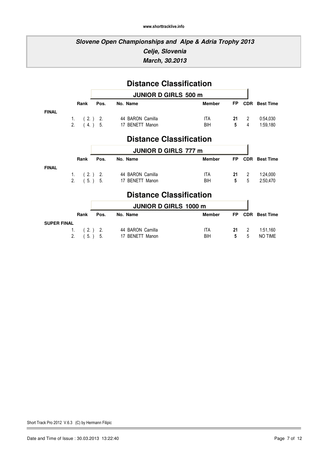### **Slovene Open Championships and Alpe & Adria Trophy 2013 Celje, Slovenia March, 30.2013**

|                                |      |      | <b>Distance Classification</b> |               |                |                |                      |  |  |  |
|--------------------------------|------|------|--------------------------------|---------------|----------------|----------------|----------------------|--|--|--|
|                                |      |      | <b>JUNIOR D GIRLS 500 m</b>    |               |                |                |                      |  |  |  |
|                                | Rank | Pos. | No. Name                       | <b>Member</b> | <b>FP</b>      |                | <b>CDR</b> Best Time |  |  |  |
| <b>FINAL</b>                   |      |      |                                |               |                |                |                      |  |  |  |
|                                |      |      | 1. (2.) 2. 44 BARON Camilla    | <b>ITA</b>    |                | $21 \quad 2$   | 0:54,030             |  |  |  |
|                                |      |      | 2. (4.) 5. 17 BENETT Manon     | BIH           | 5 <sub>5</sub> | $\overline{4}$ | 1:59,180             |  |  |  |
| <b>Distance Classification</b> |      |      |                                |               |                |                |                      |  |  |  |
|                                |      |      | <b>JUNIOR D GIRLS 777 m</b>    |               |                |                |                      |  |  |  |
|                                | Rank | Pos. | No. Name                       | <b>Member</b> | <b>FP</b>      |                | <b>CDR</b> Best Time |  |  |  |
| <b>FINAL</b>                   |      |      |                                |               |                |                |                      |  |  |  |
|                                |      |      | 1. (2.) 2. 44 BARON Camilla    | <b>ITA</b>    |                | $21 \t2$       | 1:24,000             |  |  |  |
|                                |      |      | 2. (5.) 5. 17 BENETT Manon     | <b>BIH</b>    | 5              | 5              | 2:50,470             |  |  |  |
|                                |      |      | <b>Distance Classification</b> |               |                |                |                      |  |  |  |
|                                |      |      | <b>JUNIOR D GIRLS 1000 m</b>   |               |                |                |                      |  |  |  |
|                                | Rank | Pos. | No. Name                       | <b>Member</b> | <b>FP</b>      |                | <b>CDR</b> Best Time |  |  |  |
| <b>SUPER FINAL</b>             |      |      |                                |               |                |                |                      |  |  |  |
|                                | 1.   |      | (2.) 2. 44 BARON Camilla       | ITA           | 21             | $2^{\circ}$    | 1:51,160             |  |  |  |
|                                | 2.   |      | 5. ) 5. 17 BENETT Manon        | BIH           | 5              | 5              | <b>NO TIME</b>       |  |  |  |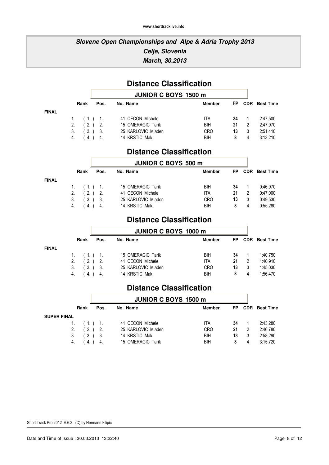### **Slovene Open Championships and Alpe & Adria Trophy 2013 Celje, Slovenia March, 30.2013**

## **Distance Classification**

ń

|              |              |           | <b>JUNIOR C BOYS 1500 m</b> |               |     |   |                      |  |
|--------------|--------------|-----------|-----------------------------|---------------|-----|---|----------------------|--|
|              | Rank         | Pos.      | No. Name                    | <b>Member</b> | FP. |   | <b>CDR</b> Best Time |  |
| <b>FINAL</b> |              |           |                             |               |     |   |                      |  |
|              | 1. $(1)$ 1.  |           | 41 CECON Michele            | ITA           | 34  |   | 2:47.500             |  |
|              | 2. $(2.)$ 2. |           | 15 OMERAGIC Tarik           | BIH           | 21  | 2 | 2:47.970             |  |
|              | 3.           | (3.) 3.   | 25 KARLOVIC Mladen          | <b>CRO</b>    | 13  | 3 | 2:51,410             |  |
|              | 4.           | $(4.)$ 4. | 14 KRSTIC Mak               | BIH           | 8   |   | 3:13.210             |  |

### **Distance Classification**

|              |              |         | <b>JUNIOR C BOYS 500 m</b> |               |    |   |                      |  |
|--------------|--------------|---------|----------------------------|---------------|----|---|----------------------|--|
|              | Rank         | Pos.    | No. Name                   | <b>Member</b> | FP |   | <b>CDR</b> Best Time |  |
| <b>FINAL</b> |              |         |                            |               |    |   |                      |  |
|              | $1.$ (1.) 1. |         | 15 OMERAGIC Tarik          | BIH           | 34 |   | 0:46.970             |  |
|              | 2. $(2.)$ 2. |         | 41 CECON Michele           | ITA           | 21 |   | 0:47.000             |  |
|              | 3.           | (3.) 3. | 25 KARLOVIC Mladen         | <b>CRO</b>    | 13 |   | 0:49,530             |  |
|              | 4.           | (4.) 4. | 14 KRSTIC Mak              | BIH           | 8  | 4 | 0:55.280             |  |

### **Distance Classification**

|              |      |              | <b>JUNIOR C BOYS 1000 m</b> |               |    |  |                      |  |
|--------------|------|--------------|-----------------------------|---------------|----|--|----------------------|--|
|              | Rank | Pos.         | No. Name                    | <b>Member</b> | FP |  | <b>CDR</b> Best Time |  |
| <b>FINAL</b> |      |              |                             |               |    |  |                      |  |
|              |      | 1. $(1)$ 1.  | 15 OMERAGIC Tarik           | <b>BIH</b>    | 34 |  | 1:40.750             |  |
|              |      | 2. $(2.)$ 2. | 41 CECON Michele            | ITA           | 21 |  | 1:40.910             |  |
|              | 3.   | (3.) 3.      | 25 KARLOVIC Mladen          | <b>CRO</b>    | 13 |  | 1:45,030             |  |
|              | 4.   | $(4.)$ 4.    | 14 KRSTIC Mak               | BIH           | 8  |  | 1:56.470             |  |

### **Distance Classification**

| <b>JUNIOR C BOYS 1500 m</b> |                      |                                            |               |    |                |                  |
|-----------------------------|----------------------|--------------------------------------------|---------------|----|----------------|------------------|
| Rank                        | Pos.                 | No. Name                                   | <b>Member</b> | FP | CDR            | <b>Best Time</b> |
|                             |                      |                                            |               |    |                |                  |
|                             |                      | 41 CECON Michele                           | ITA           | 34 |                | 2:43.280         |
|                             |                      | 25 KARLOVIC Mladen                         | <b>CRO</b>    | 21 | $\overline{2}$ | 2:46,780         |
|                             |                      | 14 KRSTIC Mak                              | BIH           | 13 |                | 2:58,290         |
|                             |                      | 15 OMERAGIC Tarik                          | BIH           | 8  |                | 3:15.720         |
|                             | 1.<br>2.<br>3.<br>4. | $(1)$ 1.<br>$(2.)$ 2.<br>(3.) 3.<br>4.) 4. |               |    |                |                  |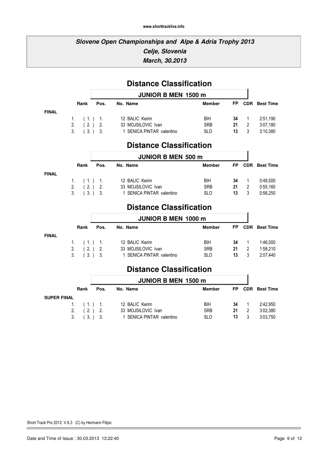### **Slovene Open Championships and Alpe & Adria Trophy 2013 Celje, Slovenia March, 30.2013**

|              |                |           | <b>Distance Classification</b> |               |           |                |                  |
|--------------|----------------|-----------|--------------------------------|---------------|-----------|----------------|------------------|
|              |                |           | <b>JUNIOR B MEN 1500 m</b>     |               |           |                |                  |
|              | Rank           | Pos.      | No. Name                       | <b>Member</b> | <b>FP</b> | <b>CDR</b>     | <b>Best Time</b> |
| <b>FINAL</b> |                |           |                                |               |           |                |                  |
|              |                |           | 1. (1.) 1. 12 BALIC Kerim      | BIH           | 34        | $\overline{1}$ | 2:51,190         |
|              |                |           | 2. (2.) 2. 33 MOJSILOVIC Ivan  | <b>SRB</b>    | 21        | $\overline{2}$ | 3:07,180         |
|              | 3 <sub>1</sub> | (3.) 3.   | 1 SENICA PINTAR valentino      | <b>SLO</b>    | 13        | 3              | 3:10,380         |
|              |                |           | <b>Distance Classification</b> |               |           |                |                  |
|              |                |           | <b>JUNIOR B MEN 500 m</b>      |               |           |                |                  |
|              | Rank           | Pos.      | No. Name                       | <b>Member</b> | <b>FP</b> | <b>CDR</b>     | <b>Best Time</b> |
| <b>FINAL</b> |                |           |                                |               |           |                |                  |
|              | 1.             |           | (1.) 1. 12 BALIC Kerim         | BIH           | 34        | $\mathbf{1}$   | 0:48,500         |
|              |                |           | 2. (2.) 2. 33 MOJSILOVIC Ivan  | <b>SRB</b>    | 21        | $\overline{2}$ | 0:55,160         |
|              | 3.             | $(3.)$ 3. | 1 SENICA PINTAR valentino      | <b>SLO</b>    | 13        | 3              | 0:56,250         |
|              |                |           | <b>Distance Classification</b> |               |           |                |                  |
|              |                |           | <b>JUNIOR B MEN 1000 m</b>     |               |           |                |                  |
|              | Rank           | Pos.      | No. Name                       | <b>Member</b> | <b>FP</b> | <b>CDR</b>     | <b>Best Time</b> |
| <b>FINAL</b> |                |           |                                |               |           |                |                  |

| 1. $(1.)$ 1.     | 12 BALIC Kerim            | BIH.       |  | <b>34</b> 1 1:46.000 |
|------------------|---------------------------|------------|--|----------------------|
| 2. $(2.)$ 2.     | 33 MOJSILOVIC Ivan        | <b>SRB</b> |  | <b>21</b> 2 1:58.210 |
| $3.$ $(3.)$ $3.$ | 1 SENICA PINTAR valentino | -SLO       |  | 13 3 2:07.440        |
|                  |                           |            |  |                      |

### **Distance Classification**

|                    |      | <b>JUNIOR B MEN 1500 m</b> |               |     |  |                      |  |  |
|--------------------|------|----------------------------|---------------|-----|--|----------------------|--|--|
| Rank               | Pos. | No. Name                   | <b>Member</b> | FP. |  | <b>CDR</b> Best Time |  |  |
| <b>SUPER FINAL</b> |      |                            |               |     |  |                      |  |  |
| 1. $(1)$ 1.        |      | 12 BALIC Kerim             | BIH           | 34  |  | 2:42.950             |  |  |
| 2. $(2.)$ 2.       |      | 33 MOJSILOVIC Ivan         | <b>SRB</b>    | 21  |  | 3:02,380             |  |  |
| $3.$ $(3.)$ $3.$   |      | 1 SENICA PINTAR valentino  | <b>SLO</b>    | 13  |  | 3:03,750             |  |  |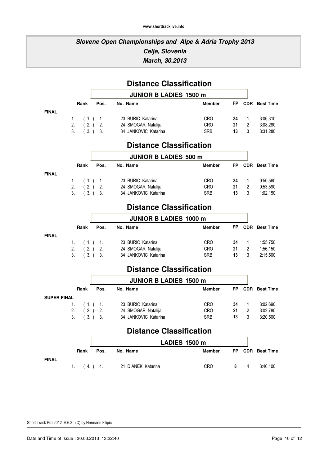### **Slovene Open Championships and Alpe & Adria Trophy 2013 Celje, Slovenia March, 30.2013**

|                    |                    |          | <b>Distance Classification</b>             |                          |           |                     |                      |
|--------------------|--------------------|----------|--------------------------------------------|--------------------------|-----------|---------------------|----------------------|
|                    |                    |          | <b>JUNIOR B LADIES 1500 m</b>              |                          |           |                     |                      |
|                    | Rank               | Pos.     | No. Name                                   | <b>Member</b>            | <b>FP</b> | <b>CDR</b>          | <b>Best Time</b>     |
| <b>FINAL</b>       |                    |          |                                            |                          |           |                     |                      |
|                    | 1.<br>(1.)<br>2.   | 1.       | 23 BURIC Katarina                          | <b>CRO</b>               | 34        | 1                   | 3:06,310             |
|                    | (2.)<br>3.<br>(3.) | 2.<br>3. | 24 SMOGAR Natalija<br>34 JANKOVIC Katarina | <b>CRO</b><br><b>SRB</b> | 21<br>13  | $\overline{2}$<br>3 | 3:08,280<br>3:31,280 |
|                    |                    |          |                                            |                          |           |                     |                      |
|                    |                    |          | <b>Distance Classification</b>             |                          |           |                     |                      |
|                    |                    |          | <b>JUNIOR B LADIES 500 m</b>               |                          |           |                     |                      |
|                    | Rank               | Pos.     | No. Name                                   | <b>Member</b>            | <b>FP</b> | <b>CDR</b>          | <b>Best Time</b>     |
| <b>FINAL</b>       |                    |          |                                            |                          |           |                     |                      |
|                    | 1.<br>(1.)         | 1.       | 23 BURIC Katarina                          | <b>CRO</b>               | 34        | 1                   | 0:50,560             |
|                    | 2.<br>(2.)         | 2.       | 24 SMOGAR Natalija                         | <b>CRO</b>               | 21        | $\overline{2}$      | 0:53,590             |
|                    | 3.<br>(3.)         | 3.       | 34 JANKOVIC Katarina                       | <b>SRB</b>               | 13        | 3                   | 1:02,150             |
|                    |                    |          | <b>Distance Classification</b>             |                          |           |                     |                      |
|                    |                    |          | <b>JUNIOR B LADIES 1000 m</b>              |                          |           |                     |                      |
|                    | Rank               | Pos.     | No. Name                                   | <b>Member</b>            | FP        | <b>CDR</b>          | <b>Best Time</b>     |
| <b>FINAL</b>       |                    |          |                                            |                          |           |                     |                      |
|                    | 1.<br>(1.)         | 1.       | 23 BURIC Katarina                          | <b>CRO</b>               | 34        | 1                   | 1:55,750             |
|                    | 2.<br>(2.)         | 2.       | 24 SMOGAR Natalija                         | <b>CRO</b>               | 21        | $\overline{2}$      | 1:56,150             |
|                    | 3.<br>(3.)         | 3.       | 34 JANKOVIC Katarina                       | <b>SRB</b>               | 13        | 3                   | 2:15,500             |
|                    |                    |          | <b>Distance Classification</b>             |                          |           |                     |                      |
|                    |                    |          | <b>JUNIOR B LADIES 1500 m</b>              |                          |           |                     |                      |
|                    | Rank               | Pos.     | No. Name                                   | <b>Member</b>            | <b>FP</b> |                     | <b>CDR</b> Best Time |
| <b>SUPER FINAL</b> |                    |          |                                            |                          |           |                     |                      |
|                    | (1.)<br>1.         | 1.       | 23 BURIC Katarina                          | <b>CRO</b>               | 34        | 1                   | 3:02,690             |
|                    | (2.)<br>2.         | 2.       | 24 SMOGAR Natalija                         | <b>CRO</b>               | 21        | $\overline{2}$      | 3:02,780             |
|                    | 3.<br>(3.)         | 3.       | 34 JANKOVIC Katarina                       | <b>SRB</b>               | 13        | 3                   | 3:20,500             |
|                    |                    |          | <b>Distance Classification</b>             |                          |           |                     |                      |
|                    |                    |          | LADIES 1500 m                              |                          |           |                     |                      |
|                    | Rank               | Pos.     | No. Name                                   | <b>Member</b>            | FP        |                     | <b>CDR</b> Best Time |

1. ( 4. ) 4. 21 DIANEK Katarina CRO 8 4 3:40,100

#### **FINAL**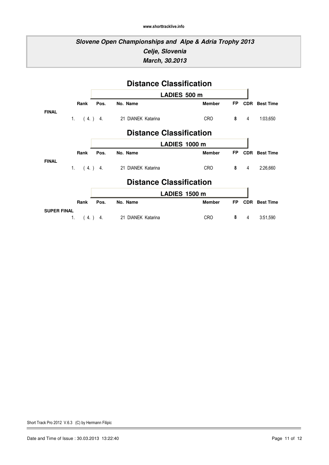### **Slovene Open Championships and Alpe & Adria Trophy 2013 Celje, Slovenia March, 30.2013**

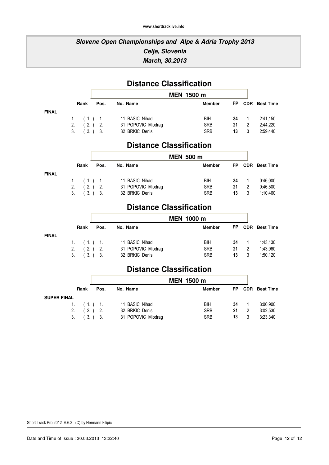# **Distance Classification**

|              |           | <b>MEN 1500 m</b>  |               |           |            |                  |  |
|--------------|-----------|--------------------|---------------|-----------|------------|------------------|--|
| Rank         | Pos.      | No. Name           | <b>Member</b> | <b>FP</b> | <b>CDR</b> | <b>Best Time</b> |  |
| 1. $(1.)$ 1. |           | 11 BASIC Nihad     | BIH           | 34        |            | 2:41,150         |  |
| 2.           | $(2.)$ 2. | 31 POPOVIC Miodrag | <b>SRB</b>    | 21        | 2          | 2:44.220         |  |
| 3.           | (3.) 3.   | 32 BRKIC Denis     | <b>SRB</b>    | 13        |            | 2:59.440         |  |

### **Distance Classification**

|              |         | <b>MEN 500 m</b>   |               |     |            |                  |
|--------------|---------|--------------------|---------------|-----|------------|------------------|
| Rank         | Pos.    | No. Name           | <b>Member</b> | FP. | <b>CDR</b> | <b>Best Time</b> |
| 1. $(1.)$ 1. |         | 11 BASIC Nihad     | BIH           | 34  |            | 0:46,000         |
| 2.           | (2.) 2. | 31 POPOVIC Miodrag | <b>SRB</b>    | 21  | 2          | 0:46,500         |
| 3.           | (3.) 3. | 32 BRKIC Denis     | <b>SRB</b>    | 13  | 3          | 1:10.460         |

# **Distance Classification**

|              |                                                 |      | MEN 1000 m                                             |                                 |                |     |                                  |  |
|--------------|-------------------------------------------------|------|--------------------------------------------------------|---------------------------------|----------------|-----|----------------------------------|--|
|              | Rank                                            | Pos. | No. Name                                               | <b>Member</b>                   | FP.            |     | <b>CDR</b> Best Time             |  |
| <b>FINAL</b> | 1. $(1)$ 1.<br>2. $(2.)$ 2.<br>$3.$ $(3.)$ $3.$ |      | 11 BASIC Nihad<br>31 POPOVIC Miodrag<br>32 BRKIC Denis | BIH<br><b>SRB</b><br><b>SRB</b> | 34<br>21<br>13 | - 2 | 1:43.130<br>1:43,960<br>1:50.120 |  |

### **Distance Classification**

|                    |      | <b>MEN 1500 m</b>  |            |     |   |                      |  |
|--------------------|------|--------------------|------------|-----|---|----------------------|--|
| Rank               | Pos. | No. Name           | Member     | FP. |   | <b>CDR</b> Best Time |  |
| <b>SUPER FINAL</b> |      |                    |            |     |   |                      |  |
| 1. $(1)$ 1.        |      | 11 BASIC Nihad     | BIH        | 34  |   | 3:00,900             |  |
| 2. $(2.)$ 2.       |      | 32 BRKIC Denis     | <b>SRB</b> | 21  | 2 | 3:02,530             |  |
| $3.$ $(3.)$ $3.$   |      | 31 POPOVIC Miodrag | <b>SRB</b> | 13  |   | 3:23.340             |  |

**FINAL**

**FINAL**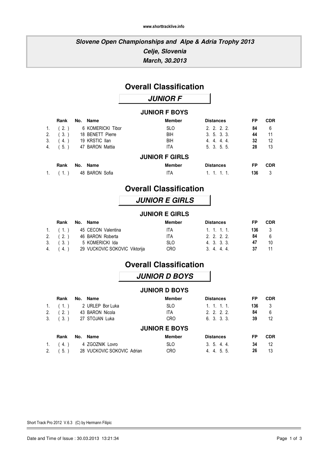### **Overall Classification**

### **JUNIOR F**

### **JUNIOR F BOYS**

|             | Rank   | No. | Name              | <b>Member</b>         | <b>Distances</b> | FP  | <b>CDR</b> |
|-------------|--------|-----|-------------------|-----------------------|------------------|-----|------------|
| $1_{\cdot}$ | (2.)   |     | 6 KOMERICKI Tibor | <b>SLO</b>            | 2, 2, 2, 2       | 84  | 6          |
| 2.          | $3.$ ) |     | 18 BENETT Pierre  | BIH                   | 3.5.3.3.         | 44  | 11         |
| 3.          | 4.)    |     | 19 KRSTIC Ilan    | BIH                   | 4, 4, 4, 4,      | 32  | 12         |
| 4.          | 5.     |     | 47 BARON Mattia   | ITA                   | 5.3.5.5.         | 28  | 13         |
|             |        |     |                   | <b>JUNIOR F GIRLS</b> |                  |     |            |
|             | Rank   | No. | Name              | <b>Member</b>         | <b>Distances</b> | FP  | <b>CDR</b> |
|             |        |     | 48 BARON Sofia    | ITA                   |                  | 136 | 3          |

### **Overall Classification**

### **JUNIOR E GIRLS**

### **JUNIOR E GIRLS**

| Rank          | No. Name                   |                               | Member     | <b>Distances</b> | FP  | <b>CDR</b> |
|---------------|----------------------------|-------------------------------|------------|------------------|-----|------------|
|               | 1. (1.) 45 CECON Valentina |                               | ITA.       | 1.1.1.1          | 136 | - 3        |
| 2. (2.)       | 46 BARON Roberta           |                               | ITA.       | 2. 2. 2. 2.      | 84  | ĥ          |
| $3.$ ( $3.$ ) | 5 KOMERICKI Ida            |                               | <b>SLO</b> | 4, 3, 3, 3,      | 47  | 10         |
| 4. (4.)       |                            | 29 VUCKOVIC SOKOVIC Viktorija | <b>CRO</b> | 3. 4. 4. 4.      | -37 |            |

### **Overall Classification**

|    |        |     |                            | <b>JUNIOR D BOYS</b> |                  |     |            |
|----|--------|-----|----------------------------|----------------------|------------------|-----|------------|
|    |        |     |                            | <b>JUNIOR D BOYS</b> |                  |     |            |
|    | Rank   | No. | Name                       | <b>Member</b>        | <b>Distances</b> | FP  | <b>CDR</b> |
| 1. | (1.)   |     | 2 URLEP Bor Luka           | <b>SLO</b>           | 1, 1, 1, 1,      | 136 | 3          |
| 2. | (2.)   |     | 43 BARON Nicola            | <b>ITA</b>           | 2, 2, 2, 2.      | 84  | 6          |
| 3. | $3.$ ) |     | 27 STOJAN Luka             | <b>CRO</b>           | 6.3.3.3.         | 39  | 12         |
|    |        |     |                            | <b>JUNIOR E BOYS</b> |                  |     |            |
|    | Rank   | No. | <b>Name</b>                | <b>Member</b>        | <b>Distances</b> | FP  | <b>CDR</b> |
| 1. | 4.)    |     | 4 ZGOZNIK Lovro            | <b>SLO</b>           | 3.5.4.4.         | 34  | 12         |
| 2. | $5.$ ) |     | 28 VUCKOVIC SOKOVIC Adrian | <b>CRO</b>           | 4. 4. 5. 5.      | 26  | 13         |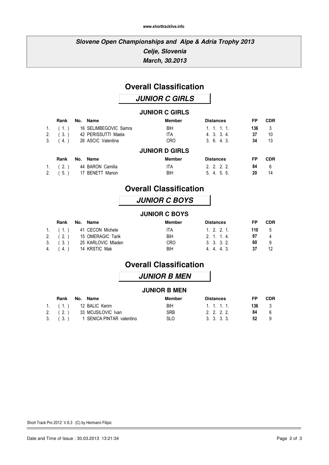### **Overall Classification**

**JUNIOR C GIRLS**

### **JUNIOR C GIRLS**

|    | Rank   | No. Name              | <b>Member</b>         | <b>Distances</b> | FP  | <b>CDR</b> |
|----|--------|-----------------------|-----------------------|------------------|-----|------------|
| 1. | (1, 1) | 16 SELIMBEGOVIC Samra | BIH                   | 1, 1, 1, 1,      | 136 | 3          |
| 2. | $3.$ ) | 42 PERISSUTTI Maela   | ITA                   | 4.3.3.4.         | 37  | 10         |
| 3. | 4.)    | 26 ASCIC Valentina    | <b>CRO</b>            | 3.6.4.3.         | 34  | 13         |
|    |        |                       | <b>JUNIOR D GIRLS</b> |                  |     |            |
|    | Rank   | No. Name              | <b>Member</b>         | <b>Distances</b> | FP  | <b>CDR</b> |
| 1. | . 2. ' | 44 BARON Camilla      | ITA                   | 2, 2, 2, 2.      | 84  | 6          |
| 2. | 5.)    | 17 BENETT Manon       | BIH                   | 5. 4. 5. 5.      | 20  | 14         |

### **Overall Classification**

### **JUNIOR C BOYS**

### **JUNIOR C BOYS**

|          | Rank No. Name            | Member     | <b>Distances</b> | FP – | <b>CDR</b> |
|----------|--------------------------|------------|------------------|------|------------|
|          | 1. (1.) 41 CECON Michele | ITA.       | $1, 2, 2, 1$ .   | 110  | - 5        |
| 2. $(2)$ | 15 OMERAGIC Tarik        | <b>BIH</b> | 2. 1. 1. 4.      | 97   |            |
| 3. (3.)  | 25 KARLOVIC Mladen       | <b>CRO</b> | 3. 3. 3. 2.      | 60   | -9         |
|          | 4. (4.) 14 KRSTIC Mak    | BIH        | 4 4 4 3          | -37  | 12         |

### **Overall Classification**

### **JUNIOR B MEN**

### **JUNIOR B MEN**

|          | Rank No. Name                     | Member     | <b>Distances</b>            | FP    | <b>CDR</b> |
|----------|-----------------------------------|------------|-----------------------------|-------|------------|
|          | 1. (1.) 12 BALIC Kerim            | <b>BIH</b> | $1 \quad 1 \quad 1 \quad 1$ | 136 3 |            |
| 2. $(2)$ | 33 MOJSILOVIC Ivan                | <b>SRB</b> | 2. 2. 2. 2.                 | 84.   |            |
|          | 3. (3.) 1 SENICA PINTAR valentino | <b>SLO</b> | 3. 3. 3. 3.                 | 52    |            |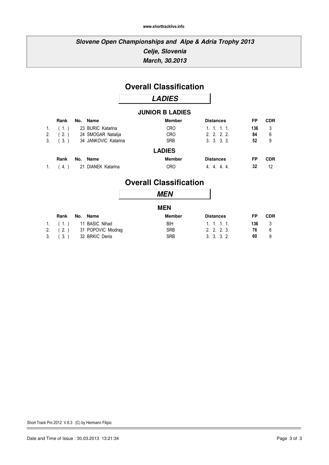### **Overall Classification**

### **LADIES**

### **JUNIOR B LADIES**

|                | Rank   | No. Name             | <b>Member</b> | <b>Distances</b> | FP  | <b>CDR</b> |
|----------------|--------|----------------------|---------------|------------------|-----|------------|
| $\mathbf{1}$ . |        | 23 BURIC Katarina    | <b>CRO</b>    | 1, 1, 1, 1,      | 136 | 3          |
| 2.             | $2.$ ) | 24 SMOGAR Natalija   | <b>CRO</b>    | 2, 2, 2, 2       | 84  | 6          |
| 3.             | 3.)    | 34 JANKOVIC Katarina | <b>SRB</b>    | 3.3.3.3.         | 52  | 9          |
|                |        |                      | <b>LADIES</b> |                  |     |            |
|                | Rank   | No. Name             | <b>Member</b> | <b>Distances</b> | FP  | <b>CDR</b> |
|                | -4.    | 21 DIANEK Katarina   | <b>CRO</b>    | 4 4 4 4          | 32  | 12         |

### **Overall Classification**

|                |      |                         | <b>MEN</b>    |                  |     |            |
|----------------|------|-------------------------|---------------|------------------|-----|------------|
|                |      |                         | <b>MEN</b>    |                  |     |            |
|                | Rank | No. Name                | <b>Member</b> | <b>Distances</b> | FP  | <b>CDR</b> |
| 1 <sup>1</sup> | (1)  | 11 BASIC Nihad          | BIH           | 1, 1, 1, 1,      | 136 | 3          |
| 2.             |      | (2.) 31 POPOVIC Miodrag | <b>SRB</b>    | 2, 2, 2, 3.      | 76  | 6          |
| 3.             | 3.   | 32 BRKIC Denis          | <b>SRB</b>    | 3.3.3.2.         | 60  | 9          |